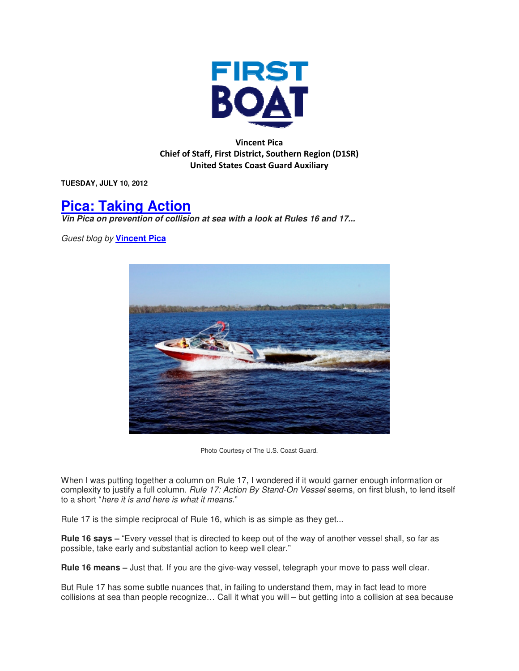

Vincent Pica Chief of Staff, First District, Southern Region (D1SR) United States Coast Guard Auxiliary

**TUESDAY, JULY 10, 2012** 

## **Pica: Taking Action**

**Vin Pica on prevention of collision at sea with a look at Rules 16 and 17...** 

Guest blog by **Vincent Pica**



Photo Courtesy of The U.S. Coast Guard.

When I was putting together a column on Rule 17, I wondered if it would garner enough information or complexity to justify a full column. Rule 17: Action By Stand-On Vessel seems, on first blush, to lend itself to a short "here it is and here is what it means."

Rule 17 is the simple reciprocal of Rule 16, which is as simple as they get...

**Rule 16 says –** "Every vessel that is directed to keep out of the way of another vessel shall, so far as possible, take early and substantial action to keep well clear."

**Rule 16 means –** Just that. If you are the give-way vessel, telegraph your move to pass well clear.

But Rule 17 has some subtle nuances that, in failing to understand them, may in fact lead to more collisions at sea than people recognize… Call it what you will – but getting into a collision at sea because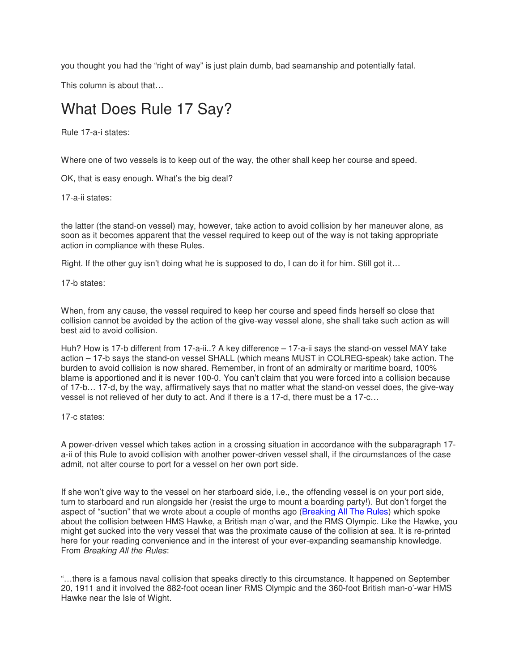you thought you had the "right of way" is just plain dumb, bad seamanship and potentially fatal.

This column is about that…

## What Does Rule 17 Say?

Rule 17-a-i states:

Where one of two vessels is to keep out of the way, the other shall keep her course and speed.

OK, that is easy enough. What's the big deal?

17-a-ii states:

the latter (the stand-on vessel) may, however, take action to avoid collision by her maneuver alone, as soon as it becomes apparent that the vessel required to keep out of the way is not taking appropriate action in compliance with these Rules.

Right. If the other guy isn't doing what he is supposed to do, I can do it for him. Still got it…

17-b states:

When, from any cause, the vessel required to keep her course and speed finds herself so close that collision cannot be avoided by the action of the give-way vessel alone, she shall take such action as will best aid to avoid collision.

Huh? How is 17-b different from 17-a-ii..? A key difference – 17-a-ii says the stand-on vessel MAY take action – 17-b says the stand-on vessel SHALL (which means MUST in COLREG-speak) take action. The burden to avoid collision is now shared. Remember, in front of an admiralty or maritime board, 100% blame is apportioned and it is never 100-0. You can't claim that you were forced into a collision because of 17-b… 17-d, by the way, affirmatively says that no matter what the stand-on vessel does, the give-way vessel is not relieved of her duty to act. And if there is a 17-d, there must be a 17-c…

17-c states:

A power-driven vessel which takes action in a crossing situation in accordance with the subparagraph 17 a-ii of this Rule to avoid collision with another power-driven vessel shall, if the circumstances of the case admit, not alter course to port for a vessel on her own port side.

If she won't give way to the vessel on her starboard side, i.e., the offending vessel is on your port side, turn to starboard and run alongside her (resist the urge to mount a boarding party!). But don't forget the aspect of "suction" that we wrote about a couple of months ago (Breaking All The Rules) which spoke about the collision between HMS Hawke, a British man o'war, and the RMS Olympic. Like the Hawke, you might get sucked into the very vessel that was the proximate cause of the collision at sea. It is re-printed here for your reading convenience and in the interest of your ever-expanding seamanship knowledge. From Breaking All the Rules:

"…there is a famous naval collision that speaks directly to this circumstance. It happened on September 20, 1911 and it involved the 882-foot ocean liner RMS Olympic and the 360-foot British man-o'-war HMS Hawke near the Isle of Wight.